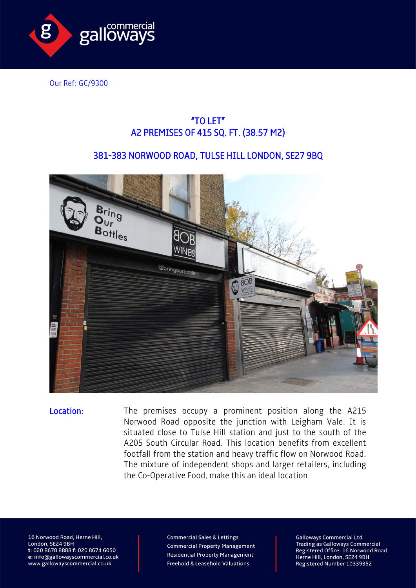

Our Ref: GC/9300

## "TO LET" A2 PREMISES OF 415 SQ. FT. (38.57 M2)

## 381-383 NORWOOD ROAD, TULSE HILL LONDON, SE27 9BQ



Location: The premises occupy a prominent position along the A215 Norwood Road opposite the junction with Leigham Vale. It is situated close to Tulse Hill station and just to the south of the A205 South Circular Road. This location benefits from excellent footfall from the station and heavy traffic flow on Norwood Road. The mixture of independent shops and larger retailers, including the Co-Operative Food, make this an ideal location.

16 Norwood Road, Herne Hill, London, SE24 9BH t: 020 8678 8888 f: 020 8674 6050 e: info@gallowayscommercial.co.uk www.gallowayscommercial.co.uk

**Commercial Sales & Lettings Commercial Property Management Residential Property Management** Freehold & Leasehold Valuations

**Galloways Commercial Ltd. Trading as Galloways Commercial** Registered Office: 16 Norwood Road Herne Hill, London, SE24 9BH Registered Number 10339352